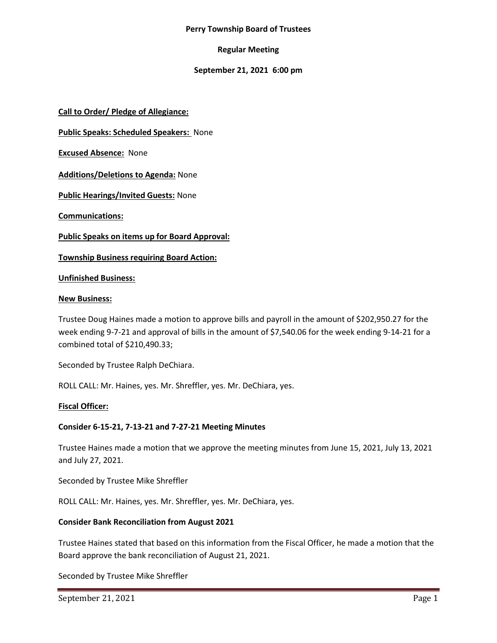#### **Perry Township Board of Trustees**

# **Regular Meeting**

# **September 21, 2021 6:00 pm**

**Call to Order/ Pledge of Allegiance:**

**Public Speaks: Scheduled Speakers:** None

**Excused Absence:** None

**Additions/Deletions to Agenda:** None

**Public Hearings/Invited Guests:** None

**Communications:**

**Public Speaks on items up for Board Approval:**

**Township Business requiring Board Action:**

#### **Unfinished Business:**

#### **New Business:**

Trustee Doug Haines made a motion to approve bills and payroll in the amount of \$202,950.27 for the week ending 9-7-21 and approval of bills in the amount of \$7,540.06 for the week ending 9-14-21 for a combined total of \$210,490.33;

Seconded by Trustee Ralph DeChiara.

ROLL CALL: Mr. Haines, yes. Mr. Shreffler, yes. Mr. DeChiara, yes.

# **Fiscal Officer:**

# **Consider 6-15-21, 7-13-21 and 7-27-21 Meeting Minutes**

Trustee Haines made a motion that we approve the meeting minutes from June 15, 2021, July 13, 2021 and July 27, 2021.

Seconded by Trustee Mike Shreffler

ROLL CALL: Mr. Haines, yes. Mr. Shreffler, yes. Mr. DeChiara, yes.

# **Consider Bank Reconciliation from August 2021**

Trustee Haines stated that based on this information from the Fiscal Officer, he made a motion that the Board approve the bank reconciliation of August 21, 2021.

Seconded by Trustee Mike Shreffler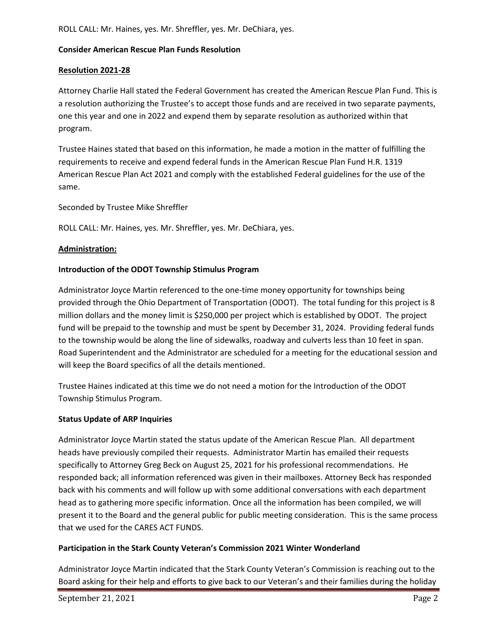ROLL CALL: Mr. Haines, yes. Mr. Shreffler, yes. Mr. DeChiara, yes.

# **Consider American Rescue Plan Funds Resolution**

# **Resolution 2021-28**

Attorney Charlie Hall stated the Federal Government has created the American Rescue Plan Fund. This is a resolution authorizing the Trustee's to accept those funds and are received in two separate payments, one this year and one in 2022 and expend them by separate resolution as authorized within that program.

Trustee Haines stated that based on this information, he made a motion in the matter of fulfilling the requirements to receive and expend federal funds in the American Rescue Plan Fund H.R. 1319 American Rescue Plan Act 2021 and comply with the established Federal guidelines for the use of the same.

Seconded by Trustee Mike Shreffler

ROLL CALL: Mr. Haines, yes. Mr. Shreffler, yes. Mr. DeChiara, yes.

# **Administration:**

# **Introduction of the ODOT Township Stimulus Program**

Administrator Joyce Martin referenced to the one-time money opportunity for townships being provided through the Ohio Department of Transportation (ODOT). The total funding for this project is 8 million dollars and the money limit is \$250,000 per project which is established by ODOT. The project fund will be prepaid to the township and must be spent by December 31, 2024. Providing federal funds to the township would be along the line of sidewalks, roadway and culverts less than 10 feet in span. Road Superintendent and the Administrator are scheduled for a meeting for the educational session and will keep the Board specifics of all the details mentioned.

Trustee Haines indicated at this time we do not need a motion for the Introduction of the ODOT Township Stimulus Program.

# **Status Update of ARP Inquiries**

Administrator Joyce Martin stated the status update of the American Rescue Plan. All department heads have previously compiled their requests. Administrator Martin has emailed their requests specifically to Attorney Greg Beck on August 25, 2021 for his professional recommendations. He responded back; all information referenced was given in their mailboxes. Attorney Beck has responded back with his comments and will follow up with some additional conversations with each department head as to gathering more specific information. Once all the information has been compiled, we will present it to the Board and the general public for public meeting consideration. This is the same process that we used for the CARES ACT FUNDS.

# **Participation in the Stark County Veteran's Commission 2021 Winter Wonderland**

Administrator Joyce Martin indicated that the Stark County Veteran's Commission is reaching out to the Board asking for their help and efforts to give back to our Veteran's and their families during the holiday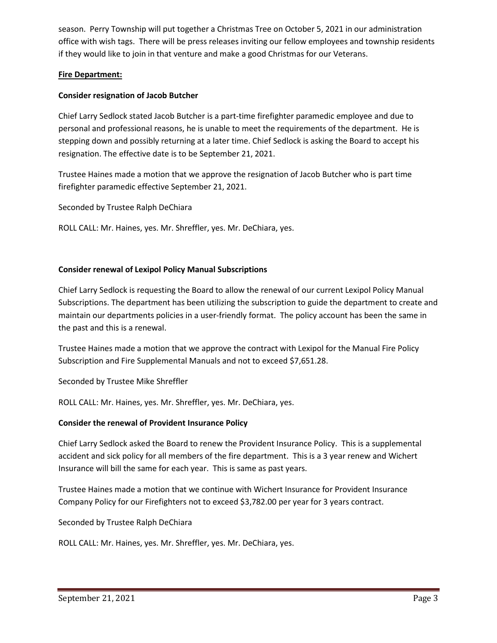season. Perry Township will put together a Christmas Tree on October 5, 2021 in our administration office with wish tags. There will be press releases inviting our fellow employees and township residents if they would like to join in that venture and make a good Christmas for our Veterans.

# **Fire Department:**

# **Consider resignation of Jacob Butcher**

Chief Larry Sedlock stated Jacob Butcher is a part-time firefighter paramedic employee and due to personal and professional reasons, he is unable to meet the requirements of the department. He is stepping down and possibly returning at a later time. Chief Sedlock is asking the Board to accept his resignation. The effective date is to be September 21, 2021.

Trustee Haines made a motion that we approve the resignation of Jacob Butcher who is part time firefighter paramedic effective September 21, 2021.

Seconded by Trustee Ralph DeChiara

ROLL CALL: Mr. Haines, yes. Mr. Shreffler, yes. Mr. DeChiara, yes.

# **Consider renewal of Lexipol Policy Manual Subscriptions**

Chief Larry Sedlock is requesting the Board to allow the renewal of our current Lexipol Policy Manual Subscriptions. The department has been utilizing the subscription to guide the department to create and maintain our departments policies in a user-friendly format. The policy account has been the same in the past and this is a renewal.

Trustee Haines made a motion that we approve the contract with Lexipol for the Manual Fire Policy Subscription and Fire Supplemental Manuals and not to exceed \$7,651.28.

Seconded by Trustee Mike Shreffler

ROLL CALL: Mr. Haines, yes. Mr. Shreffler, yes. Mr. DeChiara, yes.

# **Consider the renewal of Provident Insurance Policy**

Chief Larry Sedlock asked the Board to renew the Provident Insurance Policy. This is a supplemental accident and sick policy for all members of the fire department. This is a 3 year renew and Wichert Insurance will bill the same for each year. This is same as past years.

Trustee Haines made a motion that we continue with Wichert Insurance for Provident Insurance Company Policy for our Firefighters not to exceed \$3,782.00 per year for 3 years contract.

Seconded by Trustee Ralph DeChiara

ROLL CALL: Mr. Haines, yes. Mr. Shreffler, yes. Mr. DeChiara, yes.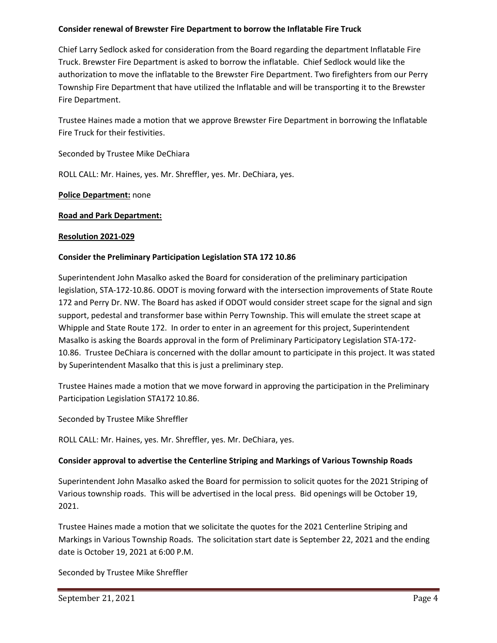# **Consider renewal of Brewster Fire Department to borrow the Inflatable Fire Truck**

Chief Larry Sedlock asked for consideration from the Board regarding the department Inflatable Fire Truck. Brewster Fire Department is asked to borrow the inflatable. Chief Sedlock would like the authorization to move the inflatable to the Brewster Fire Department. Two firefighters from our Perry Township Fire Department that have utilized the Inflatable and will be transporting it to the Brewster Fire Department.

Trustee Haines made a motion that we approve Brewster Fire Department in borrowing the Inflatable Fire Truck for their festivities.

Seconded by Trustee Mike DeChiara

ROLL CALL: Mr. Haines, yes. Mr. Shreffler, yes. Mr. DeChiara, yes.

# **Police Department:** none

# **Road and Park Department:**

# **Resolution 2021-029**

# **Consider the Preliminary Participation Legislation STA 172 10.86**

Superintendent John Masalko asked the Board for consideration of the preliminary participation legislation, STA-172-10.86. ODOT is moving forward with the intersection improvements of State Route 172 and Perry Dr. NW. The Board has asked if ODOT would consider street scape for the signal and sign support, pedestal and transformer base within Perry Township. This will emulate the street scape at Whipple and State Route 172. In order to enter in an agreement for this project, Superintendent Masalko is asking the Boards approval in the form of Preliminary Participatory Legislation STA-172- 10.86. Trustee DeChiara is concerned with the dollar amount to participate in this project. It was stated by Superintendent Masalko that this is just a preliminary step.

Trustee Haines made a motion that we move forward in approving the participation in the Preliminary Participation Legislation STA172 10.86.

Seconded by Trustee Mike Shreffler

ROLL CALL: Mr. Haines, yes. Mr. Shreffler, yes. Mr. DeChiara, yes.

# **Consider approval to advertise the Centerline Striping and Markings of Various Township Roads**

Superintendent John Masalko asked the Board for permission to solicit quotes for the 2021 Striping of Various township roads. This will be advertised in the local press. Bid openings will be October 19, 2021.

Trustee Haines made a motion that we solicitate the quotes for the 2021 Centerline Striping and Markings in Various Township Roads. The solicitation start date is September 22, 2021 and the ending date is October 19, 2021 at 6:00 P.M.

Seconded by Trustee Mike Shreffler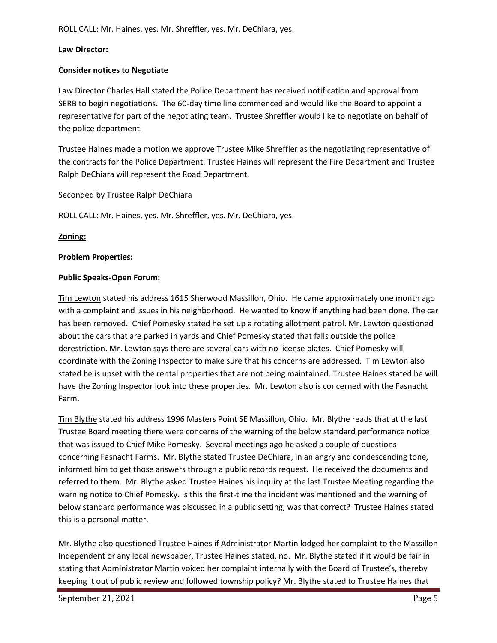# **Law Director:**

# **Consider notices to Negotiate**

Law Director Charles Hall stated the Police Department has received notification and approval from SERB to begin negotiations. The 60-day time line commenced and would like the Board to appoint a representative for part of the negotiating team. Trustee Shreffler would like to negotiate on behalf of the police department.

Trustee Haines made a motion we approve Trustee Mike Shreffler as the negotiating representative of the contracts for the Police Department. Trustee Haines will represent the Fire Department and Trustee Ralph DeChiara will represent the Road Department.

Seconded by Trustee Ralph DeChiara

ROLL CALL: Mr. Haines, yes. Mr. Shreffler, yes. Mr. DeChiara, yes.

**Zoning:**

# **Problem Properties:**

# **Public Speaks-Open Forum:**

Tim Lewton stated his address 1615 Sherwood Massillon, Ohio. He came approximately one month ago with a complaint and issues in his neighborhood. He wanted to know if anything had been done. The car has been removed. Chief Pomesky stated he set up a rotating allotment patrol. Mr. Lewton questioned about the cars that are parked in yards and Chief Pomesky stated that falls outside the police derestriction. Mr. Lewton says there are several cars with no license plates. Chief Pomesky will coordinate with the Zoning Inspector to make sure that his concerns are addressed. Tim Lewton also stated he is upset with the rental properties that are not being maintained. Trustee Haines stated he will have the Zoning Inspector look into these properties. Mr. Lewton also is concerned with the Fasnacht Farm.

Tim Blythe stated his address 1996 Masters Point SE Massillon, Ohio. Mr. Blythe reads that at the last Trustee Board meeting there were concerns of the warning of the below standard performance notice that was issued to Chief Mike Pomesky. Several meetings ago he asked a couple of questions concerning Fasnacht Farms. Mr. Blythe stated Trustee DeChiara, in an angry and condescending tone, informed him to get those answers through a public records request. He received the documents and referred to them. Mr. Blythe asked Trustee Haines his inquiry at the last Trustee Meeting regarding the warning notice to Chief Pomesky. Is this the first-time the incident was mentioned and the warning of below standard performance was discussed in a public setting, was that correct? Trustee Haines stated this is a personal matter.

Mr. Blythe also questioned Trustee Haines if Administrator Martin lodged her complaint to the Massillon Independent or any local newspaper, Trustee Haines stated, no. Mr. Blythe stated if it would be fair in stating that Administrator Martin voiced her complaint internally with the Board of Trustee's, thereby keeping it out of public review and followed township policy? Mr. Blythe stated to Trustee Haines that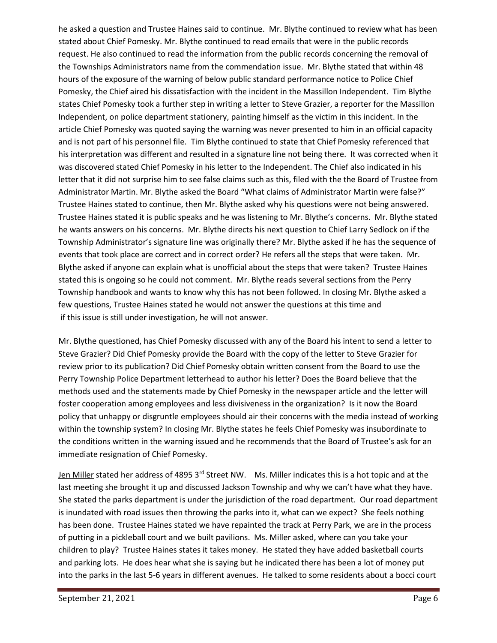he asked a question and Trustee Haines said to continue. Mr. Blythe continued to review what has been stated about Chief Pomesky. Mr. Blythe continued to read emails that were in the public records request. He also continued to read the information from the public records concerning the removal of the Townships Administrators name from the commendation issue. Mr. Blythe stated that within 48 hours of the exposure of the warning of below public standard performance notice to Police Chief Pomesky, the Chief aired his dissatisfaction with the incident in the Massillon Independent. Tim Blythe states Chief Pomesky took a further step in writing a letter to Steve Grazier, a reporter for the Massillon Independent, on police department stationery, painting himself as the victim in this incident. In the article Chief Pomesky was quoted saying the warning was never presented to him in an official capacity and is not part of his personnel file. Tim Blythe continued to state that Chief Pomesky referenced that his interpretation was different and resulted in a signature line not being there. It was corrected when it was discovered stated Chief Pomesky in his letter to the Independent. The Chief also indicated in his letter that it did not surprise him to see false claims such as this, filed with the the Board of Trustee from Administrator Martin. Mr. Blythe asked the Board "What claims of Administrator Martin were false?" Trustee Haines stated to continue, then Mr. Blythe asked why his questions were not being answered. Trustee Haines stated it is public speaks and he was listening to Mr. Blythe's concerns. Mr. Blythe stated he wants answers on his concerns. Mr. Blythe directs his next question to Chief Larry Sedlock on if the Township Administrator's signature line was originally there? Mr. Blythe asked if he has the sequence of events that took place are correct and in correct order? He refers all the steps that were taken. Mr. Blythe asked if anyone can explain what is unofficial about the steps that were taken? Trustee Haines stated this is ongoing so he could not comment. Mr. Blythe reads several sections from the Perry Township handbook and wants to know why this has not been followed. In closing Mr. Blythe asked a few questions, Trustee Haines stated he would not answer the questions at this time and if this issue is still under investigation, he will not answer.

Mr. Blythe questioned, has Chief Pomesky discussed with any of the Board his intent to send a letter to Steve Grazier? Did Chief Pomesky provide the Board with the copy of the letter to Steve Grazier for review prior to its publication? Did Chief Pomesky obtain written consent from the Board to use the Perry Township Police Department letterhead to author his letter? Does the Board believe that the methods used and the statements made by Chief Pomesky in the newspaper article and the letter will foster cooperation among employees and less divisiveness in the organization? Is it now the Board policy that unhappy or disgruntle employees should air their concerns with the media instead of working within the township system? In closing Mr. Blythe states he feels Chief Pomesky was insubordinate to the conditions written in the warning issued and he recommends that the Board of Trustee's ask for an immediate resignation of Chief Pomesky.

Jen Miller stated her address of 4895 3<sup>rd</sup> Street NW. Ms. Miller indicates this is a hot topic and at the last meeting she brought it up and discussed Jackson Township and why we can't have what they have. She stated the parks department is under the jurisdiction of the road department. Our road department is inundated with road issues then throwing the parks into it, what can we expect? She feels nothing has been done. Trustee Haines stated we have repainted the track at Perry Park, we are in the process of putting in a pickleball court and we built pavilions. Ms. Miller asked, where can you take your children to play? Trustee Haines states it takes money. He stated they have added basketball courts and parking lots. He does hear what she is saying but he indicated there has been a lot of money put into the parks in the last 5-6 years in different avenues. He talked to some residents about a bocci court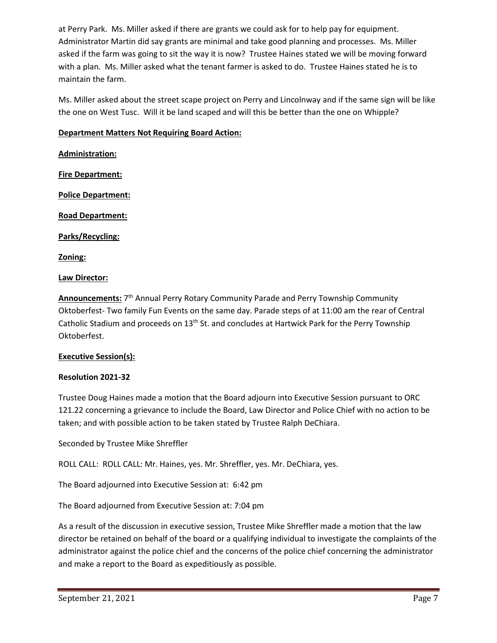at Perry Park. Ms. Miller asked if there are grants we could ask for to help pay for equipment. Administrator Martin did say grants are minimal and take good planning and processes. Ms. Miller asked if the farm was going to sit the way it is now? Trustee Haines stated we will be moving forward with a plan. Ms. Miller asked what the tenant farmer is asked to do. Trustee Haines stated he is to maintain the farm.

Ms. Miller asked about the street scape project on Perry and Lincolnway and if the same sign will be like the one on West Tusc. Will it be land scaped and will this be better than the one on Whipple?

# **Department Matters Not Requiring Board Action:**

**Administration: Fire Department: Police Department: Road Department: Parks/Recycling: Zoning:**

# **Law Director:**

Announcements: 7<sup>th</sup> Annual Perry Rotary Community Parade and Perry Township Community Oktoberfest- Two family Fun Events on the same day. Parade steps of at 11:00 am the rear of Central Catholic Stadium and proceeds on 13<sup>th</sup> St. and concludes at Hartwick Park for the Perry Township Oktoberfest.

# **Executive Session(s):**

# **Resolution 2021-32**

Trustee Doug Haines made a motion that the Board adjourn into Executive Session pursuant to ORC 121.22 concerning a grievance to include the Board, Law Director and Police Chief with no action to be taken; and with possible action to be taken stated by Trustee Ralph DeChiara.

Seconded by Trustee Mike Shreffler

ROLL CALL: ROLL CALL: Mr. Haines, yes. Mr. Shreffler, yes. Mr. DeChiara, yes.

The Board adjourned into Executive Session at: 6:42 pm

The Board adjourned from Executive Session at: 7:04 pm

As a result of the discussion in executive session, Trustee Mike Shreffler made a motion that the law director be retained on behalf of the board or a qualifying individual to investigate the complaints of the administrator against the police chief and the concerns of the police chief concerning the administrator and make a report to the Board as expeditiously as possible.